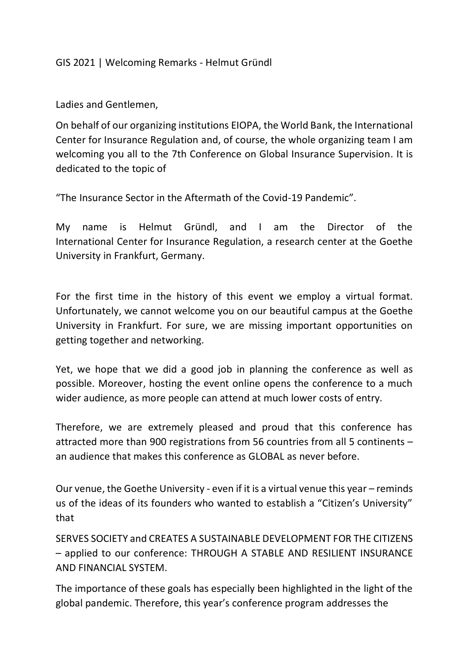## GIS 2021 | Welcoming Remarks - Helmut Gründl

## Ladies and Gentlemen,

On behalf of our organizing institutions EIOPA, the World Bank, the International Center for Insurance Regulation and, of course, the whole organizing team I am welcoming you all to the 7th Conference on Global Insurance Supervision. It is dedicated to the topic of

"The Insurance Sector in the Aftermath of the Covid-19 Pandemic".

My name is Helmut Gründl, and I am the Director of the International Center for Insurance Regulation, a research center at the Goethe University in Frankfurt, Germany.

For the first time in the history of this event we employ a virtual format. Unfortunately, we cannot welcome you on our beautiful campus at the Goethe University in Frankfurt. For sure, we are missing important opportunities on getting together and networking.

Yet, we hope that we did a good job in planning the conference as well as possible. Moreover, hosting the event online opens the conference to a much wider audience, as more people can attend at much lower costs of entry.

Therefore, we are extremely pleased and proud that this conference has attracted more than 900 registrations from 56 countries from all 5 continents – an audience that makes this conference as GLOBAL as never before.

Our venue, the Goethe University - even if it is a virtual venue this year – reminds us of the ideas of its founders who wanted to establish a "Citizen's University" that

SERVES SOCIETY and CREATES A SUSTAINABLE DEVELOPMENT FOR THE CITIZENS – applied to our conference: THROUGH A STABLE AND RESILIENT INSURANCE AND FINANCIAL SYSTEM.

The importance of these goals has especially been highlighted in the light of the global pandemic. Therefore, this year's conference program addresses the